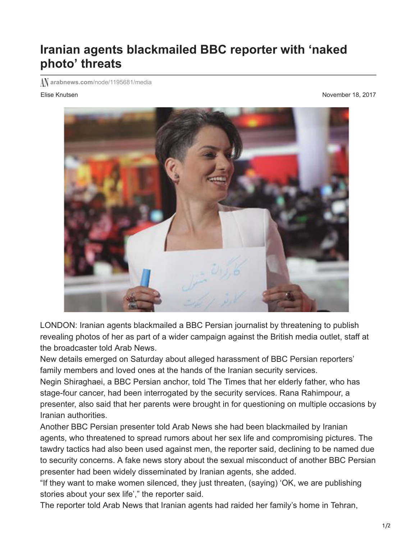## **Iranian agents blackmailed BBC reporter with 'naked photo' threats**

**arabnews.com**[/node/1195681/media](http://www.arabnews.com/node/1195681/media)

Elise Knutsen November 18, 2017



LONDON: Iranian agents blackmailed a BBC Persian journalist by threatening to publish revealing photos of her as part of a wider campaign against the British media outlet, staff at the broadcaster told Arab News.

New details emerged on Saturday about alleged harassment of BBC Persian reporters' family members and loved ones at the hands of the Iranian security services.

Negin Shiraghaei, a BBC Persian anchor, told The Times that her elderly father, who has stage-four cancer, had been interrogated by the security services. Rana Rahimpour, a presenter, also said that her parents were brought in for questioning on multiple occasions by Iranian authorities.

Another BBC Persian presenter told Arab News she had been blackmailed by Iranian agents, who threatened to spread rumors about her sex life and compromising pictures. The tawdry tactics had also been used against men, the reporter said, declining to be named due to security concerns. A fake news story about the sexual misconduct of another BBC Persian presenter had been widely disseminated by Iranian agents, she added.

"If they want to make women silenced, they just threaten, (saying) 'OK, we are publishing stories about your sex life'," the reporter said.

The reporter told Arab News that Iranian agents had raided her family's home in Tehran,